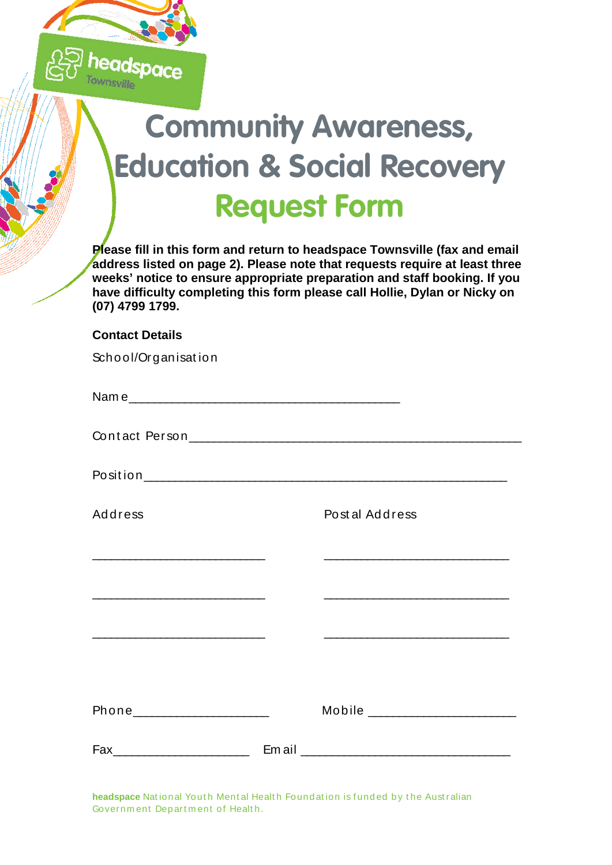

## **Community Awareness, Education & Social Recovery Request Form**

**Please fill in this form and return to headspace Townsville (fax and email address listed on page 2). Please note that requests require at least three weeks' notice to ensure appropriate preparation and staff booking. If you have difficulty completing this form please call Hollie, Dylan or Nicky on (07) 4799 1799.**

## **Contact Details**

| School/Organisation                                                                                                   |                                                                                               |
|-----------------------------------------------------------------------------------------------------------------------|-----------------------------------------------------------------------------------------------|
|                                                                                                                       |                                                                                               |
|                                                                                                                       |                                                                                               |
|                                                                                                                       |                                                                                               |
| <b>Address</b>                                                                                                        | Postal Address                                                                                |
|                                                                                                                       |                                                                                               |
| <u> 1989 - Johann Barbara, martin amerikan basal dan berasal dalam basal dalam basal dalam basal dalam basal dala</u> | and the control of the control of the control of the control of the control of the control of |
|                                                                                                                       |                                                                                               |
|                                                                                                                       |                                                                                               |
| Phone________________________                                                                                         | Mobile _________________________                                                              |
| Fax__________________________                                                                                         |                                                                                               |

headspace National Youth Mental Health Foundation is funded by the Australian Governm ent Dep art m ent of Healt h.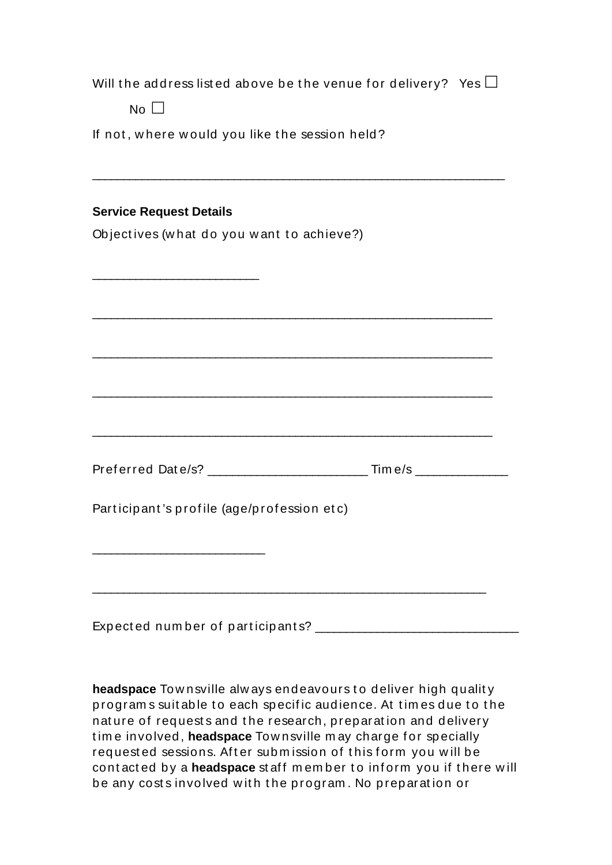| If not, where would you like the session held?                                                                                                                    |
|-------------------------------------------------------------------------------------------------------------------------------------------------------------------|
| <b>Service Request Details</b>                                                                                                                                    |
| Objectives (what do you want to achieve?)<br><u> 2000 - 2000 - 2000 - 2000 - 2000 - 2000 - 2000 - 2000 - 2000 - 2000 - 2000 - 2000 - 2000 - 2000 - 2000 - 200</u> |
|                                                                                                                                                                   |
|                                                                                                                                                                   |
| Participant's profile (age/profession etc)                                                                                                                        |
|                                                                                                                                                                   |

headspace Townsville always endeavours to deliver high quality program s suit able to each specific audience. At times due to the nature of requests and the research, preparation and delivery time involved, **headspace** Townsville may charge for specially requested sessions. After submission of this form you will be contacted by a **headspace** staff member to inform you if there will be any costs involved with the program. No preparation or